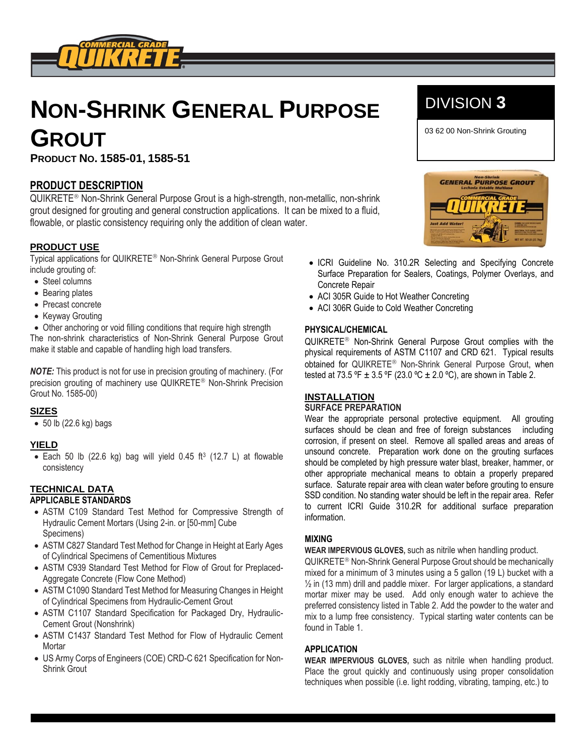

# **NON-SHRINK GENERAL PURPOSE GROUT**

**PRODUCT NO. 1585-01, 1585-51**

## **PRODUCT DESCRIPTION**

QUIKRETE<sup>®</sup> Non-Shrink General Purpose Grout is a high-strength, non-metallic, non-shrink grout designed for grouting and general construction applications. It can be mixed to a fluid, flowable, or plastic consistency requiring only the addition of clean water.

### **PRODUCT USE**

Typical applications for QUIKRETE<sup>®</sup> Non-Shrink General Purpose Grout include grouting of:

- Steel columns
- Bearing plates
- Precast concrete
- Keyway Grouting

• Other anchoring or void filling conditions that require high strength The non-shrink characteristics of Non-Shrink General Purpose Grout make it stable and capable of handling high load transfers.

*NOTE:* This product is not for use in precision grouting of machinery. (For precision grouting of machinery use QUIKRETE<sup>®</sup> Non-Shrink Precision Grout No. 1585-00)

#### **SIZES**

 $\bullet$  50 lb (22.6 kg) bags

#### **YIELD**

 $\bullet$  Each 50 lb (22.6 kg) bag will yield 0.45 ft<sup>3</sup> (12.7 L) at flowable consistency

# **TECHNICAL DATA**

#### **APPLICABLE STANDARDS**

- ASTM C109 Standard Test Method for Compressive Strength of Hydraulic Cement Mortars (Using 2-in. or [50-mm] Cube Specimens)
- ASTM C827 Standard Test Method for Change in Height at Early Ages of Cylindrical Specimens of Cementitious Mixtures
- ASTM C939 Standard Test Method for Flow of Grout for Preplaced-Aggregate Concrete (Flow Cone Method)
- ASTM C1090 Standard Test Method for Measuring Changes in Height of Cylindrical Specimens from Hydraulic-Cement Grout
- ASTM C1107 Standard Specification for Packaged Dry, Hydraulic-Cement Grout (Nonshrink)
- ASTM C1437 Standard Test Method for Flow of Hydraulic Cement **Mortar**
- US Army Corps of Engineers (COE) CRD-C 621 Specification for Non-Shrink Grout

# DIVISION **3**

03 62 00 Non-Shrink Grouting **2**



- ICRI Guideline No. 310.2R Selecting and Specifying Concrete Surface Preparation for Sealers, Coatings, Polymer Overlays, and Concrete Repair
- ACI 305R Guide to Hot Weather Concreting
- ACI 306R Guide to Cold Weather Concreting

#### **PHYSICAL/CHEMICAL**

QUIKRETE<sup>®</sup> Non-Shrink General Purpose Grout complies with the physical requirements of ASTM C1107 and CRD 621. Typical results obtained for QUIKRETE<sup>®</sup> Non-Shrink General Purpose Grout, when tested at 73.5 °F  $\pm$  3.5 °F (23.0 °C  $\pm$  2.0 °C), are shown in Table 2.

#### **INSTALLATION**

#### **SURFACE PREPARATION**

Wear the appropriate personal protective equipment. All grouting surfaces should be clean and free of foreign substances including corrosion, if present on steel. Remove all spalled areas and areas of unsound concrete. Preparation work done on the grouting surfaces should be completed by high pressure water blast, breaker, hammer, or other appropriate mechanical means to obtain a properly prepared surface. Saturate repair area with clean water before grouting to ensure SSD condition. No standing water should be left in the repair area. Refer to current ICRI Guide 310.2R for additional surface preparation information.

#### **MIXING**

#### **WEAR IMPERVIOUS GLOVES,** such as nitrile when handling product.

QUIKRETE<sup>®</sup> Non-Shrink General Purpose Grout should be mechanically mixed for a minimum of 3 minutes using a 5 gallon (19 L) bucket with a ½ in (13 mm) drill and paddle mixer. For larger applications, a standard mortar mixer may be used. Add only enough water to achieve the preferred consistency listed in Table 2. Add the powder to the water and mix to a lump free consistency. Typical starting water contents can be found in Table 1.

#### **APPLICATION**

**WEAR IMPERVIOUS GLOVES,** such as nitrile when handling product. Place the grout quickly and continuously using proper consolidation techniques when possible (i.e. light rodding, vibrating, tamping, etc.) to